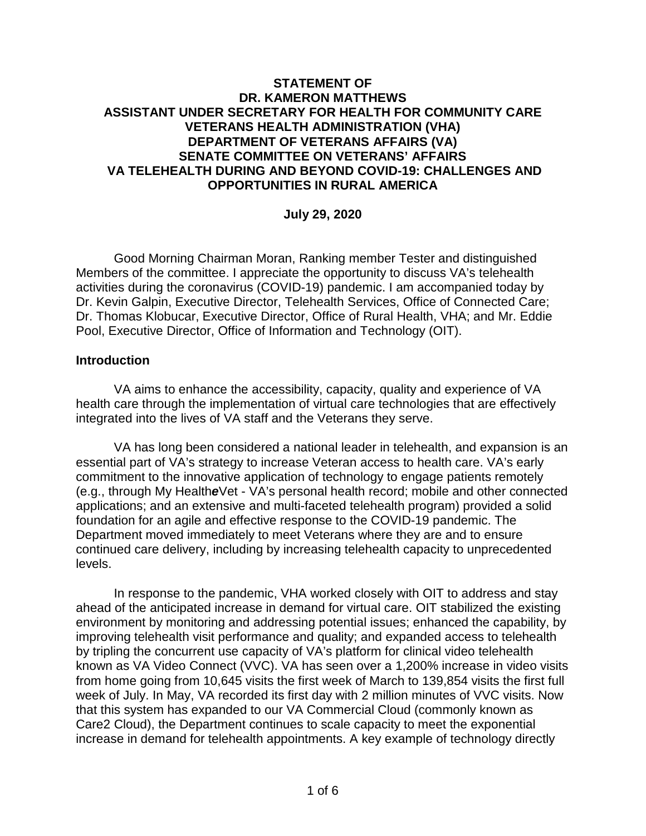### **STATEMENT OF DR. KAMERON MATTHEWS ASSISTANT UNDER SECRETARY FOR HEALTH FOR COMMUNITY CARE VETERANS HEALTH ADMINISTRATION (VHA) DEPARTMENT OF VETERANS AFFAIRS (VA) SENATE COMMITTEE ON VETERANS' AFFAIRS VA TELEHEALTH DURING AND BEYOND COVID-19: CHALLENGES AND OPPORTUNITIES IN RURAL AMERICA**

#### **July 29, 2020**

Good Morning Chairman Moran, Ranking member Tester and distinguished Members of the committee. I appreciate the opportunity to discuss VA's telehealth activities during the coronavirus (COVID-19) pandemic. I am accompanied today by Dr. Kevin Galpin, Executive Director, Telehealth Services, Office of Connected Care; Dr. Thomas Klobucar, Executive Director, Office of Rural Health, VHA; and Mr. Eddie Pool, Executive Director, Office of Information and Technology (OIT).

#### **Introduction**

VA aims to enhance the accessibility, capacity, quality and experience of VA health care through the implementation of virtual care technologies that are effectively integrated into the lives of VA staff and the Veterans they serve.

VA has long been considered a national leader in telehealth, and expansion is an essential part of VA's strategy to increase Veteran access to health care. VA's early commitment to the innovative application of technology to engage patients remotely (e.g., through My Health*e*Vet - VA's personal health record; mobile and other connected applications; and an extensive and multi-faceted telehealth program) provided a solid foundation for an agile and effective response to the COVID-19 pandemic. The Department moved immediately to meet Veterans where they are and to ensure continued care delivery, including by increasing telehealth capacity to unprecedented levels.

In response to the pandemic, VHA worked closely with OIT to address and stay ahead of the anticipated increase in demand for virtual care. OIT stabilized the existing environment by monitoring and addressing potential issues; enhanced the capability, by improving telehealth visit performance and quality; and expanded access to telehealth by tripling the concurrent use capacity of VA's platform for clinical video telehealth known as VA Video Connect (VVC). VA has seen over a 1,200% increase in video visits from home going from 10,645 visits the first week of March to 139,854 visits the first full week of July. In May, VA recorded its first day with 2 million minutes of VVC visits. Now that this system has expanded to our VA Commercial Cloud (commonly known as Care2 Cloud), the Department continues to scale capacity to meet the exponential increase in demand for telehealth appointments. A key example of technology directly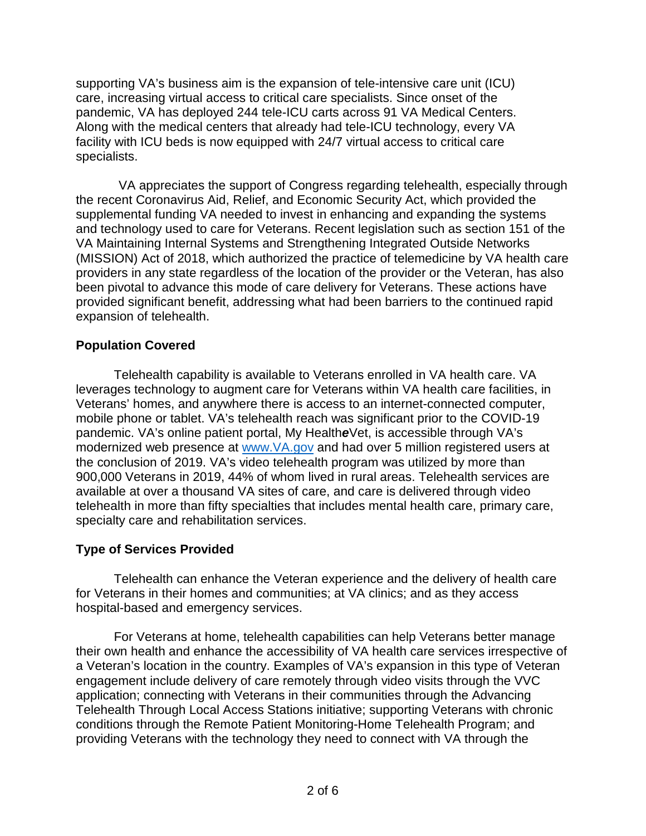supporting VA's business aim is the expansion of tele-intensive care unit (ICU) care, increasing virtual access to critical care specialists. Since onset of the pandemic, VA has deployed 244 tele-ICU carts across 91 VA Medical Centers. Along with the medical centers that already had tele-ICU technology, every VA facility with ICU beds is now equipped with 24/7 virtual access to critical care specialists.

VA appreciates the support of Congress regarding telehealth, especially through the recent Coronavirus Aid, Relief, and Economic Security Act, which provided the supplemental funding VA needed to invest in enhancing and expanding the systems and technology used to care for Veterans. Recent legislation such as section 151 of the VA Maintaining Internal Systems and Strengthening Integrated Outside Networks (MISSION) Act of 2018, which authorized the practice of telemedicine by VA health care providers in any state regardless of the location of the provider or the Veteran, has also been pivotal to advance this mode of care delivery for Veterans. These actions have provided significant benefit, addressing what had been barriers to the continued rapid expansion of telehealth.

# **Population Covered**

Telehealth capability is available to Veterans enrolled in VA health care. VA leverages technology to augment care for Veterans within VA health care facilities, in Veterans' homes, and anywhere there is access to an internet-connected computer, mobile phone or tablet. VA's telehealth reach was significant prior to the COVID-19 pandemic. VA's online patient portal, My Health*e*Vet, is accessible through VA's modernized web presence at [www.VA.gov](http://www.va.gov/) and had over 5 million registered users at the conclusion of 2019. VA's video telehealth program was utilized by more than 900,000 Veterans in 2019, 44% of whom lived in rural areas. Telehealth services are available at over a thousand VA sites of care, and care is delivered through video telehealth in more than fifty specialties that includes mental health care, primary care, specialty care and rehabilitation services.

# **Type of Services Provided**

Telehealth can enhance the Veteran experience and the delivery of health care for Veterans in their homes and communities; at VA clinics; and as they access hospital-based and emergency services.

For Veterans at home, telehealth capabilities can help Veterans better manage their own health and enhance the accessibility of VA health care services irrespective of a Veteran's location in the country. Examples of VA's expansion in this type of Veteran engagement include delivery of care remotely through video visits through the VVC application; connecting with Veterans in their communities through the Advancing Telehealth Through Local Access Stations initiative; supporting Veterans with chronic conditions through the Remote Patient Monitoring-Home Telehealth Program; and providing Veterans with the technology they need to connect with VA through the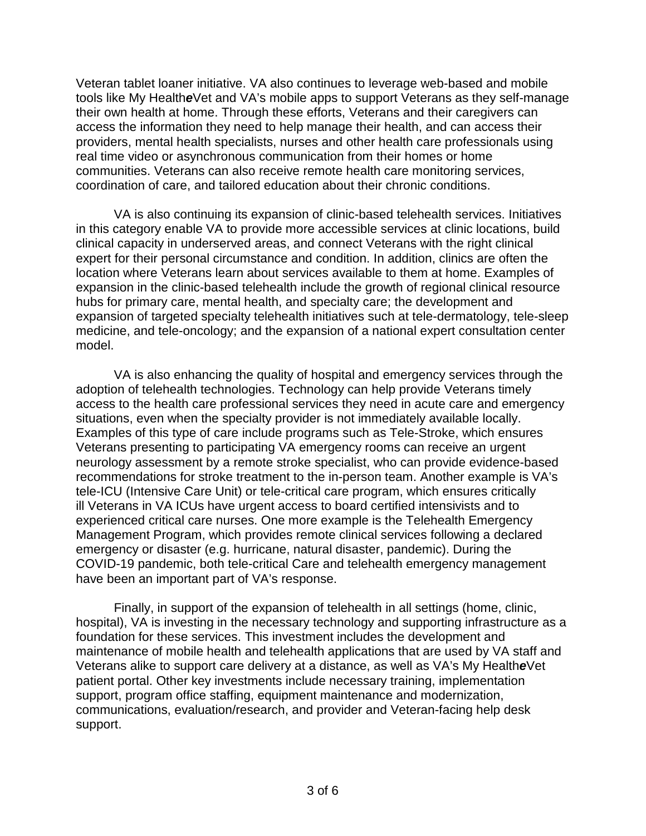Veteran tablet loaner initiative. VA also continues to leverage web-based and mobile tools like My Health*e*Vet and VA's mobile apps to support Veterans as they self-manage their own health at home. Through these efforts, Veterans and their caregivers can access the information they need to help manage their health, and can access their providers, mental health specialists, nurses and other health care professionals using real time video or asynchronous communication from their homes or home communities. Veterans can also receive remote health care monitoring services, coordination of care, and tailored education about their chronic conditions.

VA is also continuing its expansion of clinic-based telehealth services. Initiatives in this category enable VA to provide more accessible services at clinic locations, build clinical capacity in underserved areas, and connect Veterans with the right clinical expert for their personal circumstance and condition. In addition, clinics are often the location where Veterans learn about services available to them at home. Examples of expansion in the clinic-based telehealth include the growth of regional clinical resource hubs for primary care, mental health, and specialty care; the development and expansion of targeted specialty telehealth initiatives such at tele-dermatology, tele-sleep medicine, and tele-oncology; and the expansion of a national expert consultation center model.

VA is also enhancing the quality of hospital and emergency services through the adoption of telehealth technologies. Technology can help provide Veterans timely access to the health care professional services they need in acute care and emergency situations, even when the specialty provider is not immediately available locally. Examples of this type of care include programs such as Tele-Stroke, which ensures Veterans presenting to participating VA emergency rooms can receive an urgent neurology assessment by a remote stroke specialist, who can provide evidence-based recommendations for stroke treatment to the in-person team. Another example is VA's tele-ICU (Intensive Care Unit) or tele-critical care program, which ensures critically ill Veterans in VA ICUs have urgent access to board certified intensivists and to experienced critical care nurses. One more example is the Telehealth Emergency Management Program, which provides remote clinical services following a declared emergency or disaster (e.g. hurricane, natural disaster, pandemic). During the COVID-19 pandemic, both tele-critical Care and telehealth emergency management have been an important part of VA's response.

Finally, in support of the expansion of telehealth in all settings (home, clinic, hospital), VA is investing in the necessary technology and supporting infrastructure as a foundation for these services. This investment includes the development and maintenance of mobile health and telehealth applications that are used by VA staff and Veterans alike to support care delivery at a distance, as well as VA's My Health*e*Vet patient portal. Other key investments include necessary training, implementation support, program office staffing, equipment maintenance and modernization, communications, evaluation/research, and provider and Veteran-facing help desk support.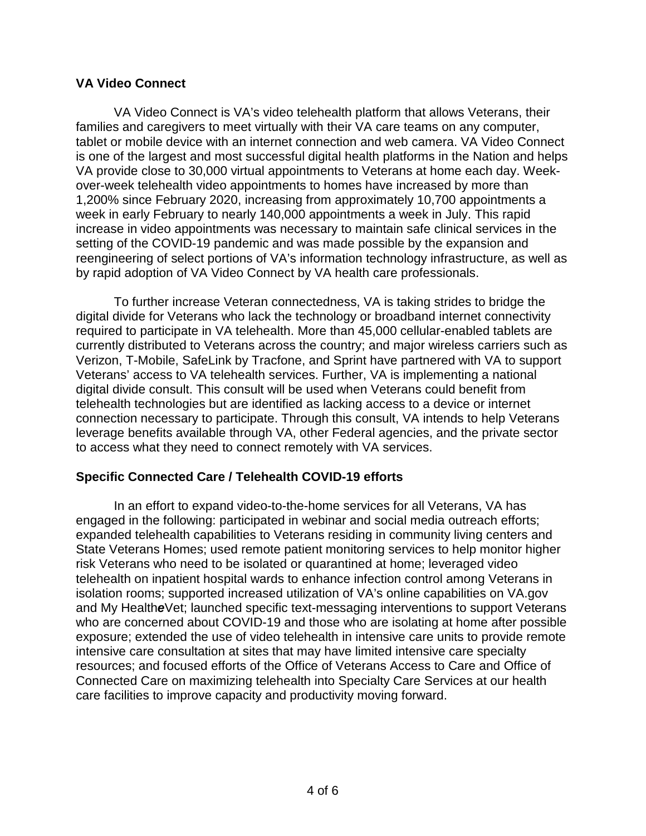### **VA Video Connect**

VA Video Connect is VA's video telehealth platform that allows Veterans, their families and caregivers to meet virtually with their VA care teams on any computer, tablet or mobile device with an internet connection and web camera. VA Video Connect is one of the largest and most successful digital health platforms in the Nation and helps VA provide close to 30,000 virtual appointments to Veterans at home each day. Weekover-week telehealth video appointments to homes have increased by more than 1,200% since February 2020, increasing from approximately 10,700 appointments a week in early February to nearly 140,000 appointments a week in July. This rapid increase in video appointments was necessary to maintain safe clinical services in the setting of the COVID-19 pandemic and was made possible by the expansion and reengineering of select portions of VA's information technology infrastructure, as well as by rapid adoption of VA Video Connect by VA health care professionals.

To further increase Veteran connectedness, VA is taking strides to bridge the digital divide for Veterans who lack the technology or broadband internet connectivity required to participate in VA telehealth. More than 45,000 cellular-enabled tablets are currently distributed to Veterans across the country; and major wireless carriers such as Verizon, T-Mobile, SafeLink by Tracfone, and Sprint have partnered with VA to support Veterans' access to VA telehealth services. Further, VA is implementing a national digital divide consult. This consult will be used when Veterans could benefit from telehealth technologies but are identified as lacking access to a device or internet connection necessary to participate. Through this consult, VA intends to help Veterans leverage benefits available through VA, other Federal agencies, and the private sector to access what they need to connect remotely with VA services.

# **Specific Connected Care / Telehealth COVID-19 efforts**

In an effort to expand video-to-the-home services for all Veterans, VA has engaged in the following: participated in webinar and social media outreach efforts; expanded telehealth capabilities to Veterans residing in community living centers and State Veterans Homes; used remote patient monitoring services to help monitor higher risk Veterans who need to be isolated or quarantined at home; leveraged video telehealth on inpatient hospital wards to enhance infection control among Veterans in isolation rooms; supported increased utilization of VA's online capabilities on VA.gov and My Health*e*Vet; launched specific text-messaging interventions to support Veterans who are concerned about COVID-19 and those who are isolating at home after possible exposure; extended the use of video telehealth in intensive care units to provide remote intensive care consultation at sites that may have limited intensive care specialty resources; and focused efforts of the Office of Veterans Access to Care and Office of Connected Care on maximizing telehealth into Specialty Care Services at our health care facilities to improve capacity and productivity moving forward.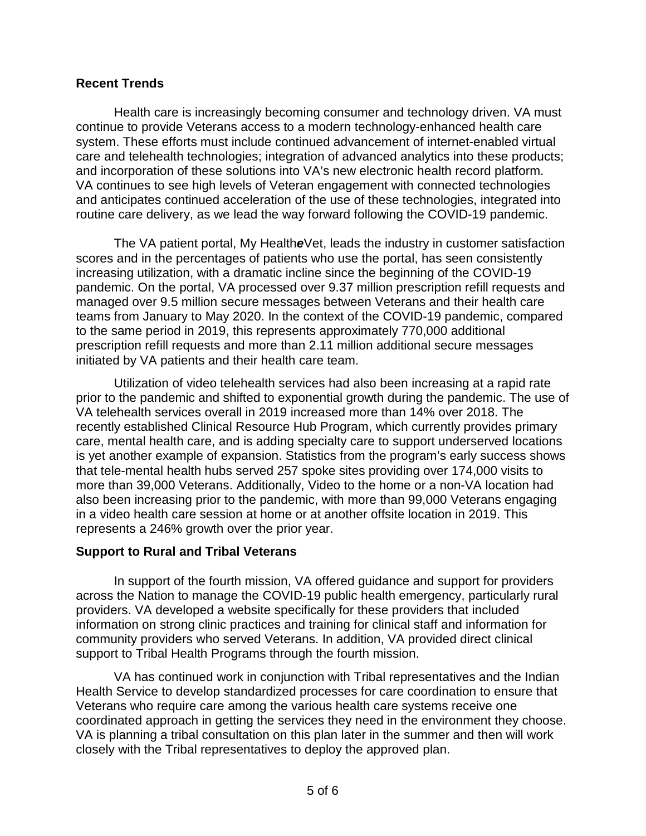### **Recent Trends**

Health care is increasingly becoming consumer and technology driven. VA must continue to provide Veterans access to a modern technology-enhanced health care system. These efforts must include continued advancement of internet-enabled virtual care and telehealth technologies; integration of advanced analytics into these products; and incorporation of these solutions into VA's new electronic health record platform. VA continues to see high levels of Veteran engagement with connected technologies and anticipates continued acceleration of the use of these technologies, integrated into routine care delivery, as we lead the way forward following the COVID-19 pandemic.

The VA patient portal, My Health*e*Vet, leads the industry in customer satisfaction scores and in the percentages of patients who use the portal, has seen consistently increasing utilization, with a dramatic incline since the beginning of the COVID-19 pandemic. On the portal, VA processed over 9.37 million prescription refill requests and managed over 9.5 million secure messages between Veterans and their health care teams from January to May 2020. In the context of the COVID-19 pandemic, compared to the same period in 2019, this represents approximately 770,000 additional prescription refill requests and more than 2.11 million additional secure messages initiated by VA patients and their health care team.

Utilization of video telehealth services had also been increasing at a rapid rate prior to the pandemic and shifted to exponential growth during the pandemic. The use of VA telehealth services overall in 2019 increased more than 14% over 2018. The recently established Clinical Resource Hub Program, which currently provides primary care, mental health care, and is adding specialty care to support underserved locations is yet another example of expansion. Statistics from the program's early success shows that tele-mental health hubs served 257 spoke sites providing over 174,000 visits to more than 39,000 Veterans. Additionally, Video to the home or a non-VA location had also been increasing prior to the pandemic, with more than 99,000 Veterans engaging in a video health care session at home or at another offsite location in 2019. This represents a 246% growth over the prior year.

#### **Support to Rural and Tribal Veterans**

In support of the fourth mission, VA offered guidance and support for providers across the Nation to manage the COVID-19 public health emergency, particularly rural providers. VA developed a website specifically for these providers that included information on strong clinic practices and training for clinical staff and information for community providers who served Veterans. In addition, VA provided direct clinical support to Tribal Health Programs through the fourth mission.

VA has continued work in conjunction with Tribal representatives and the Indian Health Service to develop standardized processes for care coordination to ensure that Veterans who require care among the various health care systems receive one coordinated approach in getting the services they need in the environment they choose. VA is planning a tribal consultation on this plan later in the summer and then will work closely with the Tribal representatives to deploy the approved plan.